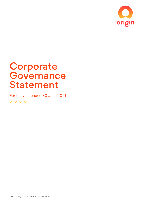

# **Corporate Governance** Statement

For the year ended 30 June 2021 $0000$ 

Origin Energy Limited ABN 30 000 051 696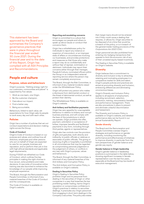This statement has been approved by the Board and summarises the Company's governance practices that were in place throughout the financial year ended 30 June 2021. During the financial year and to the date of this Report, Origin has complied with all ASX Principles and Recommendations.

# **People and culture**

# **Purpose, values and behaviours**

Origin's purpose, "Getting energy right for our customers, communities and planet" is supported by five values:

- 1. Work as one team, one Origin.
- 2. Be the customer champion.
- 3. Care about our impact.
- 4. Find a better way.
- 5. Being accountable.

Behaviours, linked to each value, set expectations for how Origin asks its people to work every day and with each other.

#### **Policies**

2

Origin has a number of policies that set out conduct expectations and decision-making rights across the Group.

#### **Code of Conduct**

Origin's Code of Conduct is based on our purpose and values, and outlines how all directors, employees and other persons who act on behalf of Origin are expected to care for our people, business and reputation, and to perform their job in line with high ethical standards and applicable legal requirements.

During FY2021 we refreshed our Code of Conduct, which outlines five key principles in making the right choices in how we act, solve problems and make decisions. A new suite of innovative online training was also launched to enhance the knowledge of our people while improving employee experience.

The Board, through the Remuneration and People Committee, is informed of any material breaches of the Code of Conduct and the consequences.

The Code of Conduct is available on Origin's website.

### **Reporting and escalating concerns**

Origin is committed to a culture that encourages our people and others to speak up about issues or conduct that concerns them.

Origin has a whistleblower policy for individuals to report any instance or suspicion of misconduct, or an improper state of affairs or circumstances involving our businesses, and provides protections and measures so that those who make a report may do so confidentially and without fear of reprisal, victimisation or detriment. Individuals may report their concerns either through their manager, People & Culture, nominated officers within the Group or an independent external reporting service where the person may remain completely anonymous.

The Board, through the Risk Committee, is informed of any material incidents raised under the Whistleblower Policy.

Origin will protect any person who makes a disclosure from detrimental conduct or the threat of detrimental conduct, as well as protect their identity.

The Whistleblower Policy is available on Origin's website.

## **Anti-bribery and facilitation payments**

Origin has zero appetite for unacceptable behaviour in relation to bribery and corrupt business practices, and will comply with the laws of the jurisdictions in which we operate. Origin prohibits the offer, payment, solicitation or acceptance of bribes, improper benefits and facilitation payments in any form, including through third parties, agents or representatives.

Origin also has controls over the provision of gifts and gratuities, both directly and indirectly, to public officials or relatives or associates of public officials. The giving or receiving of gifts or hospitality is prohibited in all circumstances that may be regarded as compromising personal judgement or the judgement of others, or conflicts in any way with Origin's purpose, values and behaviours.

The Board, through the Risk Committee, is informed of any material breaches of the Anti-bribery and Corruption Policy.

The Anti-bribery and Corruption Policy is available on Origin's website.

#### **Dealing in Securities Policy**

Origin's Dealing in Securities Policy prohibits Origin and its personnel from dealing in the securities of Origin or other companies in a way that breaches the law prohibiting insider trading, harms Origin's reputation or compromises confidence in Origin's practices in relation to securities dealings. It precludes any Origin personnel from engaging in short-term dealings in the Company's securities. The policy also states that margin loans should not be entered into if they could cause a dealing that requires, or allows for, Origin securities to be disposed of at a time that would be a breach of the policy, or is in breach of the general insider trading provisions of the *Corporations Act 2001 (Cth)*.

Origin personnel are also prohibited from entering into hedging transactions that operate to limit the economic risk of any of their unvested equity-based incentives.

The Dealing in Securities Policy is available on Origin's website.

## **Diversity**

Origin believes that a commitment to diversity and inclusion is key to attracting, retaining and motivating employees in a competitive market for skills and talent. Origin's people policies and practices are aimed at promoting diversity and inclusion, embracing differences and eliminating unconscious biases.

Origin's Diversity and Inclusion Policy applies to all aspects of employment, including recruitment, selection, promotion, training, remuneration benefits and performance management. There are also procedures in place to prevent and eliminate unlawful discrimination and harassment.

The Diversity and Inclusion Policy is available on Origin's website, and detailed performance data can be found in our annual Sustainability Report.

#### **Gender diversity**

The Board and the Remuneration and People Committee oversee Origin's strategies and performance on gender diversity, including monitoring the performance and effectiveness of initiatives to improve diversity, in particular from the twin perspectives of gender balance and gender pay equity.

### **Gender balance in Origin leadership**

Origin's gender balance in leadership positions is summarised in the table below, showing significant increases in female representation over the last five years, especially at the Board and top two levels of executive management.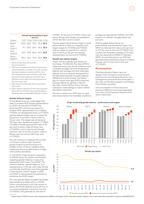| Female representation at year |
|-------------------------------|
| end $(\%)$                    |

| Cohort                          | FY17 FY18 FY19 FY20 FY21 |  |  |
|---------------------------------|--------------------------|--|--|
| Board <sup>1</sup>              | 25.0 25.0 22.2 22.2 30.0 |  |  |
| CFO<br>$ $ evel-1 <sup>2</sup>  | 11.1 20.0 25.0 33.3 33.3 |  |  |
| CFO<br>$ $ evel-2 $3$           | 26.2 33.8 40.6 43.9 42.9 |  |  |
| Senior<br>l eaders <sup>4</sup> | 34.0 34.2 34.4 33.9 34.6 |  |  |

1 Board includes Executive and Non Executive directors.

- 2 CEO Level-1 represents the CEO and executives reporting directly to the CEO. Prior year numbers have been restated to include the CEO, in line with market practice and consistency with Chief Executive Women guidance and 40:40 Vision definitions, and to align with reporting lines as at 30 June in each year.
- 3 CEO Level-2 includes roles directly reporting to CEO Level-1.
- 4 Senior Leaders captures the three reporting levels below CEO and includes roles with base salaries exceeding approximately \$200,000 per annum.

#### **Gender balance targets**

At the Board level, our initial target had been to achieve 40% female representation by 2020. At the end of FY2021 the level was 30%, and we now expect to achieve 40% representation by or before FY2024. At management level, our FY2021 gender balance target was to increase the proportion of women in senior roles<sup>1</sup> to 33 per cent. This target was achieved at 33.2 per cent. Additional targets in FY2021 included a female appointment rate of 50 per cent to senior roles (41.8 per cent in FY2021), and to improve the female retention rate of women in senior roles to 89 per cent per annum (92.3 per cent in FY2021).

We will continue to measure the number of women in senior roles. However, going forward we are focusing on a smaller cohort of Senior Leaders when measuring diversity performance to align with industry standards.

In July 2021, Origin became a signatory to *40:40 Vision*, an investor-led initiative targeting gender balance in executive leadership (CEO Level-1) by 2030. The initiative defines "gender balance" as a representation of 40 per cent male, 40 per cent female, and 20 per cent of any gender. It also requires interim targets in 2023 and 2027 to demonstrate the pathway to achieving the 2030 target.

Our new gender balance targets have been harmonised and linked with our *40:40 Vision* commitments, such that we aim to have a 40:40:20 balance across all four of our senior leadership cohorts by the end of FY2030, and generally by the end of

FY2027. At the end of FY2021, Origin was above 40 per cent female representation within the CEO Level-2 cohort.

The bar graph below shows Origin's actual performance to date, our trajectory and target ranges for FY2023 and FY2027, and our target to have all four cohorts with a minimum 40 per cent female representation by the end of FY2030.

#### **Gender pay equity targets**

Origin monitors gender pay equity on two bases. The Gender Pay Gap (GPG) is measured across the whole workforce and compares average full-time female base salaries with average full-time male base salaries, and is a measure recognised by the Workplace Gender Equality Agency (WGEA) and other bodies. The Equalpay-for-equal-work gap (EPG) measures average salaries by gender in like-forlike roles, where the Korn Ferry-Hay job evaluation methodology is used to define equivalent-sized jobs.

We aim to reduce our GPG year-on-year and remain below the Australian workforce average (as reported by WGEA). Our EPG target is to maintain any gap below one per cent.

The line graph below shows our performance over the last five years. Our GPG has reduced from above 20 per cent to 11.2 per cent at the end of FY2021, and is below the Australian average of 13.4 per cent (as reported by WGEA in February 2021). Across that period, our EPG has generally been maintained close to or below one per cent (1.2 per cent at the end of FY2021).

## **Remuneration**

The Remuneration Report sets out details of the Company's policies and practices for remunerating Directors, key management personnel and employees. It also sets out the Remuneration and People Committee's activities.

The remuneration of Non-executive Directors (NEDs) is structured separately from that of the Executive Directors and senior executives.



**Origin leadership gender balance – performance and targets**



Senior roles in FY2021 and prior years represented a different and larger cohort to the senior leader category, with a lower base salary equivalent to approximately \$150,000.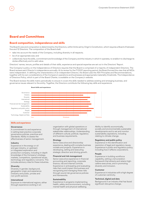# **Board and Committees**

4

# **Board composition, independence and skills**

The Board's size and composition is determined by the Directors, within limits set by Origin's Constitution, which requires a Board of between five and 12 Directors. The composition of the Board shall:

- take into account the needs of the Company, including diversity in all respects;
- be of an appropriate size; and
- collectively have the skills, commitment and knowledge of the Company and the industry in which it operates, to enable it to discharge its duties effectively and to add value.

Directors' names, tenure, profiles and details of their skills, experience and special expertise are set out in the Directors' Report.

The Company's policy on the Independence of Directors requires that the Board is comprised of a majority of independent Directors. The Board reviews each Director's independence annually. At its review for the FY2021 reporting period, the Board formed the view that all NEDs were independent. In defining the characteristics of an independent Director, the Board uses the ASX Principles and Recommendations, together with its own considerations of the Company's operations and businesses and appropriate materiality thresholds. The Independence of Directors Policy, which is part of the Board Charter, is available on the Company's website.

The Board reviews the skills matrix periodically to ensure it covers the skills needed to address existing and emerging business, and governance issues relevant to the entity. Together, the Directors contribute the following key skills and experience.



#### **Skills and experience**

#### **Governance**

A commitment to and experience in setting best practice corporate governance policies, practices and standards. Ability to assess the effectiveness of senior management.

#### **Industry**

Experience in the energy or oil and gas industry, or upstream or integrated exploration and production company, including in-depth knowledge of the Company's strategy, markets, competitors, operational issues, technology and regulatory concerns. This includes advisory roles for these industries.

#### **Diversity**

Diversity in gender, background, geographic origin and experience (industry and public, private and non-profit sectors).

#### **International**

Exposure to international regions, either through experience working in an

organisation with global operations or through management of international stakeholder relationships. Understanding of different cultural, political, regulatory and business requirements.

## **Strategy**

Senior executive and directorship experience, dealing with complex business models and projects. Experience in developing, setting and executing strategic direction and driving growth.

#### **Financial and risk management**

Senior executive experience in financial accounting and reporting, corporate finance, risk and internal controls. Experience in anticipating and evaluating risks that could impact the business and recognising and managing these risks through sound risk governance policies and frameworks.

#### **Sustainability**

Experience in programs implementing health, safety and environment, including mental health and physical wellbeing.

Ability to identify economically, socially and environmentally sustainable developments and to set and monitor sustainability aspirations, including relating to climate change.

#### **Regulatory and public policy**

Experience in the identification and resolution of legal and regulatory issues. Experience in public and regulatory policy, including how it affects corporations.

#### **People**

Experience in building workforce capability, setting a remuneration framework that attracts and retains highcalibre executives, and in promoting diversity and inclusion.

#### **Customer**

Experience in industries with a high degree of customer-centricity.

## **Technical, digital and data**

Background in an industry that has faced significant disruptive change.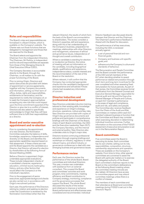# **Roles and responsibilities**

The Board's roles and responsibilities are formalised in a Board Charter, which is available on the Company's website. The Charter sets out those functions that are delegated to management and those that are reserved for the Board.

The Board selects and appoints the Chairman from the independent Directors. The Chairman, Mr Perkins, is independent and his role and responsibilities are separate from those of the Managing Director & Chief Executive Officer (CEO).

The Company Secretary is accountable directly to the Board, through the Chairman, on all matters to do with the proper functioning of the Board.

Prior to joining Origin, Directors and senior executives are provided with letters of appointment or service agreements, together with key Company documents and information, setting out their term of office, duties, rights and responsibilities, entitlements on termination, and the requirement to notify the Company of, or to seek the Company's approval before accepting any new role that could impact upon the time commitment expected of the Director or give rise to a conflict of interest. Directors are also asked to specifically acknowledge to Origin that they will have sufficient time to fulfil their responsibilities as a director.

# **Board and senior executive appointment and re-election**

Prior to considering the appointment of a new Director, the Nomination Committee evaluates the balance of skills, knowledge, experience, independence and diversity on the Board, and identifies the appropriate capabilities required based on that assessment. If these criteria are met and the Board appoints the candidate as a Director, that Director will stand for election by shareholders at the following Annual General Meeting (AGM).

Before a Director is appointed, Origin undertakes appropriate evaluations. These include independent checks of a candidate's character, experience, education, criminal record, bankruptcy history, and any other factors that would affect the Company's or the individual's reputation.

Prior to the engagement of senior executives, appropriate background checks are also carried out, in accordance with Origin's recruitment policies.

Each year, the performance of the Directors retiring by rotation and seeking re-election under the Constitution is reviewed by the Nomination Committee (other than the

relevant Director), the results of which form the basis of the Board's recommendation to shareholders. The review considers a Director's expertise, skill and experience, along with his or her understanding of the Company's business, preparation for meetings, relationships with other Directors and management, awareness of ethical and governance issues, independence of thought and overall contribution.

Where a candidate is standing for election or re-election as Director, the notice of meeting will set out information on the candidate, including biographical details, qualifications and experience, independence status, outside interests and the recommendation of the rest of the Board on the resolution.

Where relevant, it will confirm that the Company has conducted appropriate checks into the candidate's background and experience and will advise if those checks had revealed any information of concern.

# **Director induction and professional development**

New Directors undertake induction training, tailored to their existing skills, knowledge and experience on Origin's strategy, structure, operations, culture and key risks. New Directors are provided with copies of Origin's key governance documents and policies and participate in comprehensive briefings with the Chairman of the Board, chairs of each Board committee, the CEO and the Executive Leadership Team (ELT), the Company Secretary, and the internal and external auditor. New Directors also undertake visits to Origin's major sites.

Directors receive continuing professional education through ongoing briefings and workshops on industry, regulatory or other relevant topics, and attend industry or governance conferences to deal with new emerging business and governance issues.

# **Performance review**

Each year, the Directors review the performance of the whole Board, Board committees and individual Directors. This year, a review was undertaken with assistance from an external consultant. This covered the Board and committees' activities and work program, time commitments, meeting efficiency and Board contribution to Company strategy, monitoring, compliance and the governance processes that support the Board. The whole Board discussed the results of the review and initiatives to improve or enhance Board performance and effectiveness were considered and recommended. Individual

Director feedback was discussed directly between that Director and the Chairman. The Chairman's performance feedback is shared with the Board for discussion.

The performance of all key executives, including the CEO, is reviewed annually against:

- a set of personal financial and nonfinancial goals;
- Company and business unit-specific goals; and
- adherence to the Company's culture and standards of behaviour.

The Remuneration and People Committee and the Board consider the performance of the CEO and all members of the ELT when deciding whether to award performance-related remuneration through short-term and long-term incentives for the year completed and when assessing fixed remuneration for future periods. As part of that review, the Committee receives formal certification from the General Counsel and Executive General Manager responsible for internal audit and risk and the Executive General Manager of People and Culture, on each ELT member's performance in the areas of legal and compliance, audit and risk, and safety and people. The Committee also receives feedback from the Chairs of the Audit and Risk Committees on matters within each ELT member's relevant business or function that the Committee and Board may consider when exercising discretion in determining individual incentive outcomes. Further information on the outcomes of the FY2021 assessment of executive remuneration is set out in the Remuneration Report.

# **Board committees**

Five committees assist the Board in executing its duties. Each committee has its own charter, setting out its role, responsibilities, composition, structure, membership requirements and operation. These are available on the Company's website. From time to time, other special committees are convened to assist the Board with particular matters or to exercise the delegated authority of the Board. Each committee's chairman reports to the Board on the committee's deliberations at the following Board meeting where the committee meeting minutes are also tabled. All Directors have access to committee papers and may attend committee meetings unless there is a conflict of interest.

The members of each committee and their attendance at Board and committee meetings during FY2021 is set out in the Directors' Report.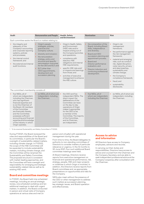| Audit                                                                                                                                                                                                                                                                                                                                                                              | <b>Remuneration and People</b>                                                                                                                                                                                                                                                                                           | <b>Health, Safety</b><br>and Environment'                                                                                                                                                                                                                                                                                                                                                    | <b>Nomination</b>                                                                                                                                                                                                                                                                           | <b>Risk</b>                                                                                                                                                                                                                                                                                                                                                                                                                            |
|------------------------------------------------------------------------------------------------------------------------------------------------------------------------------------------------------------------------------------------------------------------------------------------------------------------------------------------------------------------------------------|--------------------------------------------------------------------------------------------------------------------------------------------------------------------------------------------------------------------------------------------------------------------------------------------------------------------------|----------------------------------------------------------------------------------------------------------------------------------------------------------------------------------------------------------------------------------------------------------------------------------------------------------------------------------------------------------------------------------------------|---------------------------------------------------------------------------------------------------------------------------------------------------------------------------------------------------------------------------------------------------------------------------------------------|----------------------------------------------------------------------------------------------------------------------------------------------------------------------------------------------------------------------------------------------------------------------------------------------------------------------------------------------------------------------------------------------------------------------------------------|
| Each committee assists the Board on matters relating to:                                                                                                                                                                                                                                                                                                                           |                                                                                                                                                                                                                                                                                                                          |                                                                                                                                                                                                                                                                                                                                                                                              |                                                                                                                                                                                                                                                                                             |                                                                                                                                                                                                                                                                                                                                                                                                                                        |
| the integrity and<br>adequacy of the<br>Company's accounting<br>and corporate reporting<br>systems, policies<br>and processes;<br>the internal control<br>framework; and<br>the external and internal<br>audit functions.                                                                                                                                                          | Origin's people<br>strategies, policies,<br>practices and<br>Company culture;<br>diversity and inclusion;<br>the remuneration<br>strategy, policy and<br>structure and specific<br>remuneration outcomes<br>for the CEO and ELT; and<br>ELT (other than<br>CEO) appointments,<br>development and<br>succession planning. | Origin's Health, Safety<br>$\bullet$<br>and Environment<br>(HSE) risks and/or<br>impacts arising out of<br>the Company'sactivities<br>and operations;<br>compliance with<br>statutory HSE<br>obligations and internal<br>HSE requirements;<br>specific HSE risks and/<br>or impacts and learnings<br>from those; and<br>activities of executive<br>management to enhance<br>the HSE culture. | the composition of the<br>Board, including Board<br>skills, independence<br>and diversity;<br>Board and CEO<br>succession planning and<br>appointment process;<br>Board and<br>Director performance<br>evaluation: and<br>Director induction and<br>continuing professional<br>development. | Origin's risk<br>$\bullet$<br>management<br>framework:<br>the performance against<br>$\bullet$<br>the risk management<br>framework:<br>material and emerging<br>risks, such as conduct<br>risk, digital disruption,<br>cyber security, privacy<br>and data breaches,<br>sustainability and<br>climate change;<br>the Company's<br>$\bullet$<br>compliance framework;<br>fraud; and<br>$\bullet$<br>sustainability<br>٠<br>disclosures. |
| The committee's membership consists of:                                                                                                                                                                                                                                                                                                                                            |                                                                                                                                                                                                                                                                                                                          |                                                                                                                                                                                                                                                                                                                                                                                              |                                                                                                                                                                                                                                                                                             |                                                                                                                                                                                                                                                                                                                                                                                                                                        |
| • five NEDs, all of<br>whom are independent,<br>including the Chairman,<br>who has significant<br>financial expertise and<br>is not the Chairman of<br>the Board. All members<br>of the Committee<br>are financially literate,<br>and the Committee<br>possesses sufficient<br>accounting and financial<br>expertise and knowledge<br>of the industry in which<br>Origin operates. | six NEDs, all of whom are •<br>independent, including<br>the Chairman.                                                                                                                                                                                                                                                   | the CEO and five<br>independent NEDs. The<br>direct impact the<br>deliberations of the<br>Committee can have<br>on the day-to-day<br>operations of Origin<br>makes it appropriate<br>for the CEO to be<br>a member of the<br>Committee. The majority<br>of the Committee,<br>and its Chairman,<br>are independent.                                                                           | five NEDs, all of<br>whom are independent,<br>including the Chairman.                                                                                                                                                                                                                       | six NEDs, all of whom are<br>independent, including<br>the Chairman.                                                                                                                                                                                                                                                                                                                                                                   |

1 To be renamed Sustainability and Safety Committee in FY2022.

During FY2021, the Board reviewed the roles and responsibilities of the Board and its committees, in particular the Board's oversight of sustainability-related matters, including climate change. In FY2022, the scope of the HSE Committee will be expanded to include sustainability matters, including climate change, and the Committee will be renamed the Sustainability and Safety Committee. The proposed structure is consistent with market-leading approaches, and the Committee will have oversight and responsibility for emerging and strategic sustainability-related risks as well as its existing HSE remit.

6

# **Board and committee meetings**

In FY2021, the Board held nine scheduled meetings, including an annual strategic review, one scheduled workshop and ten additional meetings to deal with urgent matters. In addition, the Board conducted in-person and virtual visits of Company operations at various sites and met (in

person and virtually) with operational management during the year.

From time to time, the Board delegates its authority to non-standing committees of Directors to consider matters of particular relevance or urgency. In the 12 months to 30 June 2021, four such additional Board committee meetings were held.

At Board meetings, Directors receive reports from executive management on financial and operational performance, risk, strategy, people, HSE and major projects or initiatives in which Origin is involved. In addition, the Directors receive reports from Board committees and, as appropriate, presentations on opportunities and risks for the Company.

NEDs also meet without the presence of the CEO or other management to address such matters as succession planning, key strategic issues, and Board operation and effectiveness.

# **Access to advice and information**

All Directors have access to Company employees, advisors and records.

In carrying out their duties and responsibilities, Directors have access to advice and counsel from the Chairman and the Company Secretary and are able to seek independent professional advice at the Company's expense, after consultation with the Chairman.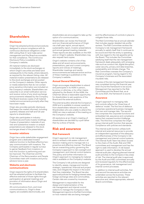# **Shareholders**

# **Disclosure**

Origin has adopted policies and procedures designed to ensure compliance with its continuous disclosure obligations under ASX Listing Rule 3.1 and make senior management and the Board accountable for that compliance. The Continuous Disclosure Policy is available on the Company's website.

All material matters are disclosed immediately to the stock exchanges on which Origin's securities are listed (and subsequently to the media, where relevant). as required by the relevant listing rules. All material investor presentations are released to the stock exchanges and are posted on the Company's website. Other reports or media statements that do not contain price-sensitive information are included on the Company's website. Shareholders can subscribe to an email notification service and receive notice of any stock exchange announcements released by the Company. The Board receives copies of all material market announcements promptly after they have been made.

Origin also provides periodic disclosure that keeps the market informed, including quarterly releases and half and full year reports to shareholders.

Origin also participates in industry conferences and hosts investor briefings. Copies of presentation materials of any new and substantive investor or analyst presentations are released to the stock exchanges ahead of the presentation.

# **Investor relations**

Origin has a wide stakeholder engagement program and a dedicated investor relations function to facilitate effective twoway communication with investors. The Company participates in regular surveys to garner feedback from investors on how this function is performing and can be improved. The Chairman and the Chairman of the Remuneration and People Committee meet with investors and proxy advisors twice a year.

# **Website and electronic communications**

Origin respects the rights of its shareholders and has adopted policies to facilitate the effective exercise of those rights through participation at general meetings and provision of information about Origin and its operations.

All communications from, and most communications to, Origin's share registry are available electronically, and

shareholders are encouraged to take up the option of e-communications.

Shareholders can review the financial and non-financial performance of Origin via a half-year report, annual report, sustainability report, investor presentations and annual general meeting materials. These reports are also available on the ASX and on Origin's website. Shareholders may also request hard copies.

Origin's website contains a list of key dates and all recent announcements, presentations, past and current company reports and notices of meetings. Shareholder meetings and results announcements are webcast and an archive of these meetings is published on the Company's website.

# **Annual General Meeting**

Origin encourages shareholders to attend and participate in its AGM in person, by proxy or attorney, or by other means adopted by the Board. At the AGM, the Chairman allows a reasonable opportunity for shareholders to ask questions of the Board and the external auditors.

The external auditor attends the Company's AGM and is available to answer questions from shareholders relevant to the audit. Shareholders who are unable to attend the AGM can view a webcast of the meeting on the Company's website.

All resolutions at an Origin's meeting of shareholders are decided by a poll rather than by a show of hands.

# **Risk and assurance**

# **Risk framework**

Origin's approach to risk management aims to embed a risk-aware culture in all decision-making and to manage risk in a proactive and effective manner. The Board has an overarching policy governing the Company's approach to risk oversight and management, and internal control systems. This policy and further information on Origin's approach to managing its material risks is available on the Company's website.

The Company's risk policies are designed to identify, assess, manage and monitor strategic, operational, financial and project risks, and mitigate the impact in the event that they materialise. The Board has also approved policies for hedging interest rates, foreign exchange rates and commodities. Certain risks are covered by insurance.

Management is responsible for the design and implementation of the risk management and internal control systems to manage the Company's risks. Management reports to the Risk Committee on how material risks are being managed

and the effectiveness of controls in place to mitigate those risks.

The Risk Committee has an annual calendar that includes regular detailed risk profile reviews. The Risk Committee reviews the Company's risk management framework annually to satisfy itself that it continues to be sound and that the entity is operating with due regard to the risk appetite set by the Board. This includes the Committee satisfying itself that the risk management framework deals adequately with emerging risks such as conduct risk, digital disruption, cyber security, privacy and data breaches, sustainability and climate change. The Risk Committee oversees the Company's insurance program, having regard to the Company's business and the associated insurable risks.

A review of the risk management framework was completed during the financial year and it found the framework to be sound. Management has reported to the Risk Committee and the Board that, as at 30 June 2021, the framework is sound.

# **Assurance**

Origin's approach to managing risks and controls reflects the 'three lines of defence' model. The first line of defence comprises operational business managers that own and manage risks. The second line comprises the corporate functions and embedded risk, assurance and compliance teams that oversee/monitor/challenge risks. The third line comprises the Origin group internal audit function that assures compliance with policies and standards.

The internal audit function utilises both internal and external resources to provide an independent appraisal of the adequacy and effectiveness of the Company's risk management and internal control systems. The Internal Audit Team has direct access to the chairs of the Audit, Risk and HSE committees and management and has the right to seek information. A risk-based approach is used to develop the annual internal audit plan, aligning planned internal audit activities to the Company's key areas of risk. The internal audit plan is approved by the Audit and HSE committees annually and reviewed regularly for the effectiveness of its governance, risk management and internal control processes.

In addition to internal audit activities, first and second line assurance activities are undertaken across the business. These activities are reported to the relevant executive and, where appropriate, relevant Board committees.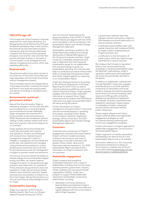# **CEO/CFO sign-off**

8

Prior to approval of the Company's financial statements for each financial period, the Managing Director & CEO and the CFO give the Board a declaration that, in their opinion, the financial records have been properly maintained, that the financial statements complied with the accounting standards and gave a true and fair view, and that their opinion had been formed on the basis of a sound system of risk management and internal compliance and control, which was operating effectively.

# **External audit**

The external auditors have direct access to the Chairman of the Audit Committee and meet separately with the Audit Committee without management present.

The Committee reviews the independence of the external auditor, including the nature and level of non-audit services provided, and reports its findings to the Board every six months.

# **Environmental, social and governance matters**

Beyond the financial results, Origin is witnessing changes in community attitudes and increased focus on local and global environmental and social challenges. Origin recognises the importance of Environmental, social and governance (ESG) disclosures and transparent decision making to help investors assess both shortterm and long-term risks and prospects for our business.

Origin assesses the environmental and social risks associated with projects and operations. Projects are developed with precautionary engineering and management measures in place to mitigate or manage key environmental and social risks, and operations are managed using policies and procedures to control remaining environmental and social risks. Environmental and social risk management is subject to periodic audits and assurance.

One source of environmental risk relates to climate change. As one of Australia's largest energy providers, we closely measure, manage and report on the greenhouse gas emissions associated with our operations. These emissions are governed by laws and regulations. Origin has set science-based medium-term emissions reduction targets and executive remuneration is linked to our short-term target. We see the transition to a net-zero economy as a key strategic priority for Origin.

# **Sustainability reporting**

Origin is a supporter of the Financial Stability Board's Task Force on Climaterelated Financial Disclosures (TCFD)

and commenced implementing the recommendations of the TCFD in FY2018. FY2021 disclosures aligned with the TCFD recommendations will be contained in the Sustainability Report and Climate Change Management Approach.

Sustainability reporting is guided by the Global Reporting Initiative and includes disclosures of material ESG aspects of the Company's business activities. Origin conducts a materiality assessment each year to determine the most important sustainability issues for our stakeholders and uses the findings to guide our sustainability reporting. Our activities also help to contribute to a number of the United Nation's Sustainable Development Goals and will be mapped against our reporting in our Sustainability Report.

Origin also discloses emissions according to the *National Greenhouse and Energy Reporting Act 2007 (Cth)*, as well as voluntary disclosure platforms such as the Carbon Disclosure Project. Origin regularly engages with and provides requested information to research firms. Origin continued to be included in the FSTE4Good Index and once again received MSCI ESG's AA rating during the period.

Further information on Origin's management and performance in the social and environmental aspects in operating its business, including further details on its emissions reduction targets and strategy, will be contained in the 2021 Sustainability Report and Climate Change Management Approach.

### **Customers**

Customers are a central part of Origin's engagement, innovation and value creation. Origin continues to adapt processes, introduce new products and invest in technology to provide customers with greater choice, better value and an improved customer experience. Our 2021 Sustainability Report provides further information on Origin's interaction with its customers.

#### **Stakeholder engagement**

Origin's projects and operations necessitate interaction with a range of stakeholders including local communities, business partners, government, industry, media, suppliers and non-governmental organisations (NGOs). Origin has a program to support these stakeholder interactions and facilitate constructive relationships, including:

dedicated community advisors to help facilitate and implement Origin's engagement with local communities and regular dialogue with the communities in which Origin operates;

- a government relations team that regularly interacts with policy makers to help develop sound and stable policy to ensure business certainty;
- a dedicated external affairs team with regular interaction with media and NGOs to create a better understanding of Origin's business; and
- contributions to the formulation of public policy, which we make through submissions to various inquiries.

We measure the Comapny's reputation (that is, how we are perceived by Australians, including shareholders) using the RepTrak® methodology. Origin's reputation performance and reputation risk issues are periodically reported to the Board.

In addition to stakeholder measurement through RepTrak®, Origin also engages external advisors to provide real-time monitoring of mainstream and social media to evaluate the external operating environment and ensure emerging risks, issues and shifting public and policy debates are identified and addressed accordingly. Quarterly quantitative and qualitative mainstream media analysis is undertaken to better understand external trends, sentiment and key public influencers.

These insights influence and inform Origin's external affairs and stakeholder engagement strategies, as well as customer-facing positioning and community engagement programs.

Further information on Origin's approach to stakeholder engagement can be found in the Sustainability Report.

Origin's approach to industry association memberships can also be found in the Sustainability Report and on its website.

*Information referred to in this Corporate Governance Statement as being on the Company's website may be found at the web address*[originenergy.com.au/](https://www.originenergy.com.au/about/investors-media/governance.html) [about/investors-media/governance](https://www.originenergy.com.au/about/investors-media/governance.html)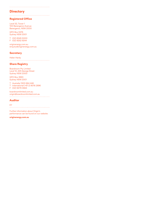# **Directory**

# **Registered Office**

Level 32, Tower 1 100 Barangaroo Avenue Barangaroo, NSW 2000

GPO Box 5376 Sydney NSW 2001

T (02) 8345 5000 F (02) 9252 9244

[originenergy.com.au](https://www.originenergy.com.au) [enquiry@originenergy.com.au](mailto:enquiry@originenergy.com.au?subject=)

# **Secretary**

Helen Hardy

# **Share Registry**

Boardroom Pty Limited Level 12, 225 George Street Sydney NSW 2000

GPO Box 3993 Sydney NSW 2001

T Australia 1300 664 446 T International (+61 2) 8016 2896

F (02) 9279 0664

[boardroomlimited.com.au](https://www.boardroomlimited.com.au) [origin@boardroomlimited.com.au](mailto:origin@boardroomlimited.com.au?subject=)

# **Auditor**

EY

Further information about Origin's performance can be found on our website:

**[originenergy.com.au](https://www.originenergy.com.au)**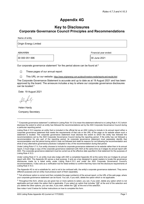# Appendix 4G

# Key to Disclosures Corporate Governance Council Principles and Recommendations

Name of entity

Origin Energy Limited

30 000 051 696 30 June 2021

ABN/ARBN Financial year ended:

Our corporate governance statement<sup>1</sup> for the period above can be found at:<sup>2</sup>

☐ These pages of our annual report:

☐ This URL on our website: https://www.originenergy.com.au/about/investors-media/reports-and-results.html

The Corporate Governance Statement is accurate and up to date as at 19 August 2021 and has been approved by the board. The annexure includes a key to where our corporate governance disclosures can be located.<sup>3</sup>

Date: 19 August 2021

Helen Hardy Company Secretary

The Appendix 4G is not a substitute for, and is not to be confused with, the entity's corporate governance statement. They serve different purposes and an entity must produce each of them separately.

See notes 4 and 5 below for further instructions on how to complete this form.

<sup>&</sup>lt;sup>1</sup> "Corporate governance statement" is defined in Listing Rule 19.12 to mean the statement referred to in Listing Rule 4.10.3 which discloses the extent to which an entity has followed the recommendations set by the ASX Corporate Governance Council during a particular reporting period.

Listing Rule 4.10.3 requires an entity that is included in the official list as an ASX Listing to include in its annual report either a corporate governance statement that meets the requirements of that rule or the URL of the page on its website where such a statement is located. The corporate governance statement must disclose the extent to which the entity has followed the recommendations set by the ASX Corporate Governance Council during the reporting period. If the entity has not followed a recommendation for any part of the reporting period, its corporate governance statement must separately identify that recommendation and the period during which it was not followed and state its reasons for not following the recommendation and what (if any) alternative governance practices it adopted in lieu of the recommendation during that period.

Under Listing Rule 4.7.4, if an entity chooses to include its corporate governance statement on its website rather than in its annual report, it must lodge a copy of the corporate governance statement with ASX at the same time as it lodges its annual report with ASX. The corporate governance statement must be current as at the effective date specified in that statement for the purposes of Listing Rule 4.10.3.

Under Listing Rule 4.7.3, an entity must also lodge with ASX a completed Appendix 4G at the same time as it lodges its annual report with ASX. The Appendix 4G serves a dual purpose. It acts as a key designed to assist readers to locate the governance disclosures made by a listed entity under Listing Rule 4.10.3 and under the ASX Corporate Governance Council's recommendations. It also acts as a verification tool for listed entities to confirm that they have met the disclosure requirements of Listing Rule 4.10.3.

 $2$  Tick whichever option is correct and then complete the page number(s) of the annual report, or the URL of the web page, where your corporate governance statement can be found. You can, if you wish, delete the option which is not applicable.

 $3$  Throughout this form, where you are given two or more options to select, you can, if you wish, delete any option which is not applicable and just retain the option that is applicable. If you select an option that includes " $OR$ " at the end of the selection and you delete the other options, you can also, if you wish, delete the "OR" at the end of the selection.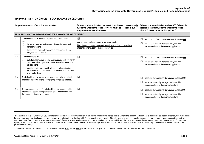# ANNEXURE – KEY TO CORPORATE GOVERNANCE DISCLOSURES

| <b>Corporate Governance Council recommendation</b> |                                                                                                                                                                                                                                                                                                                                                     | Where a box below is ticked, <sup>4</sup> we have followed the recommendation in<br>full for the whole of the period above. We have disclosed this in our<br><b>Corporate Governance Statement:</b> | Where a box below is ticked, we have NOT followed the<br>recommendation in full for the whole of the period<br>above. Our reasons for not doing so are: <sup>5</sup> |
|----------------------------------------------------|-----------------------------------------------------------------------------------------------------------------------------------------------------------------------------------------------------------------------------------------------------------------------------------------------------------------------------------------------------|-----------------------------------------------------------------------------------------------------------------------------------------------------------------------------------------------------|----------------------------------------------------------------------------------------------------------------------------------------------------------------------|
|                                                    | <b>PRINCIPLE 1 – LAY SOLID FOUNDATIONS FOR MANAGEMENT AND OVERSIGHT</b>                                                                                                                                                                                                                                                                             |                                                                                                                                                                                                     |                                                                                                                                                                      |
| 1.1                                                | A listed entity should have and disclose a board charter setting<br>out:<br>the respective roles and responsibilities of its board and<br>(a)<br>management; and<br>those matters expressly reserved to the board and those<br>(b)<br>delegated to management.                                                                                      | ☑<br>and we have disclosed a copy of our board charter at:<br>https://www.originenergy.com.au/content/dam/origin/about/investors-<br>media/documents/board_charter_jan2020.pdf                      | $\Box$<br>set out in our Corporate Governance Statement OR<br>$\Box$<br>we are an externally managed entity and this<br>recommendation is therefore not applicable   |
| 1.2                                                | A listed entity should:<br>undertake appropriate checks before appointing a director or<br>(a)<br>senior executive or putting someone forward for election as<br>a director; and<br>provide security holders with all material information in its<br>(b)<br>possession relevant to a decision on whether or not to elect<br>or re-elect a director. | ☑                                                                                                                                                                                                   | $\Box$<br>set out in our Corporate Governance Statement OR<br>we are an externally managed entity and this<br>recommendation is therefore not applicable             |
| 1.3                                                | A listed entity should have a written agreement with each director<br>and senior executive setting out the terms of their appointment.                                                                                                                                                                                                              | $\boxed{\triangle}$                                                                                                                                                                                 | $\Box$<br>set out in our Corporate Governance Statement OR<br>we are an externally managed entity and this<br>$\Box$<br>recommendation is therefore not applicable   |
| 1.4                                                | The company secretary of a listed entity should be accountable<br>directly to the board, through the chair, on all matters to do with<br>the proper functioning of the board.                                                                                                                                                                       | $\triangledown$                                                                                                                                                                                     | □<br>set out in our Corporate Governance Statement OR<br>$\Box$<br>we are an externally managed entity and this<br>recommendation is therefore not applicable        |

<sup>&</sup>lt;sup>4</sup> Tick the box in this column only if you have followed the relevant recommendation in full for the whole of the period above. Where the recommendation has a disclosure obligation attached, you must insert the location where that disclosure has been made, where indicated by the line with "*insert location*" underneath. If the disclosure in question has been made in your corporate governance statement, you need only insert "our corporate governance statement". If the disclosure has been made in your annual report, you should insert the page number(s) of your annual report (eg "pages 10-12 of our annual report"). If the disclosure has been made on your website, you should insert the URL of the web page where the disclosure has been made or can be accessed (eg "www.entityname.com.au/corporate governance/charters/").

<sup>&</sup>lt;sup>5</sup> If you have followed all of the Council's recommendations i<u>n full</u> for the <u>whole</u> of the period above, you can, if you wish, delete this column from the form and re-format it.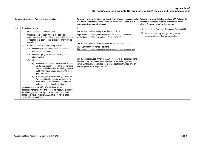|     | <b>Corporate Governance Council recommendation</b>                                                                                                                                                                                                                                                                                                                                                                                                                                                                                                                                                                                                                                                                                                                                                                                                                                                                                                                                                                                                                                                                                                                                                                                                                  | Where a box below is ticked, $4$ we have followed the recommendation in<br>full for the whole of the period above. We have disclosed this in our<br><b>Corporate Governance Statement:</b>                                                                                                                                                                                                                                                                                                                                                                                                                                                                               | Where a box below is ticked, we have NOT followed the<br>recommendation in full for the whole of the period<br>above. Our reasons for not doing so are: <sup>5</sup> |
|-----|---------------------------------------------------------------------------------------------------------------------------------------------------------------------------------------------------------------------------------------------------------------------------------------------------------------------------------------------------------------------------------------------------------------------------------------------------------------------------------------------------------------------------------------------------------------------------------------------------------------------------------------------------------------------------------------------------------------------------------------------------------------------------------------------------------------------------------------------------------------------------------------------------------------------------------------------------------------------------------------------------------------------------------------------------------------------------------------------------------------------------------------------------------------------------------------------------------------------------------------------------------------------|--------------------------------------------------------------------------------------------------------------------------------------------------------------------------------------------------------------------------------------------------------------------------------------------------------------------------------------------------------------------------------------------------------------------------------------------------------------------------------------------------------------------------------------------------------------------------------------------------------------------------------------------------------------------------|----------------------------------------------------------------------------------------------------------------------------------------------------------------------|
| 1.5 | A listed entity should:<br>have and disclose a diversity policy;<br>(a)<br>through its board or a committee of the board set<br>(b)<br>measurable objectives for achieving gender diversity in the<br>composition of its board, senior executives and workforce<br>generally; and<br>disclose in relation to each reporting period:<br>(c)<br>the measurable objectives set for that period to<br>(1)<br>achieve gender diversity;<br>the entity's progress towards achieving those<br>(2)<br>objectives; and<br>either:<br>(3)<br>the respective proportions of men and women<br>(A)<br>on the board, in senior executive positions and<br>across the whole workforce (including how the<br>entity has defined "senior executive" for these<br>purposes); or<br>if the entity is a "relevant employer" under the<br>(B)<br>Workplace Gender Equality Act, the entity's<br>most recent "Gender Equality Indicators", as<br>defined in and published under that Act.<br>If the entity was in the S&P / ASX 300 Index at the<br>commencement of the reporting period, the measurable objective<br>for achieving gender diversity in the composition of its board<br>should be to have not less than 30% of its directors of each<br>gender within a specified period. | ☑<br>and we have disclosed a copy of our diversity policy at:<br>https://www.originenergy.com.au/content/dam/origin/about/investors-<br>media/documents/Diversity_Inclusion_Policy_2020.pdf<br>and we have disclosed the information referred to in paragraph (C) at:<br>2021 Corporate Governance Statement<br>https://www.originenergy.com.au/about/investors-media/governance.html<br>and if we were included in the S&P / ASX 300 Index at the commencement<br>of the reporting period our measurable objective for achieving gender<br>diversity in the composition of its board of not less than 30% of its directors<br>of each gender within a specified period. | $\Box$<br>set out in our Corporate Governance Statement OR<br>□<br>we are an externally managed entity and this<br>recommendation is therefore not applicable        |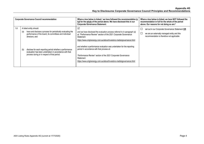|     | <b>Corporate Governance Council recommendation</b>                                                                                                                         | Where a box below is ticked, $4$ we have followed the recommendation in<br>full for the whole of the period above. We have disclosed this in our<br><b>Corporate Governance Statement:</b>                                                                                 | Where a box below is ticked, we have NOT followed the<br>recommendation in full for the whole of the period<br>above. Our reasons for not doing so are: <sup>5</sup> |
|-----|----------------------------------------------------------------------------------------------------------------------------------------------------------------------------|----------------------------------------------------------------------------------------------------------------------------------------------------------------------------------------------------------------------------------------------------------------------------|----------------------------------------------------------------------------------------------------------------------------------------------------------------------|
| 1.6 | A listed entity should:<br>have and disclose a process for periodically evaluating the<br>(a)<br>performance of the board, its committees and individual<br>directors: and | ☑<br>and we have disclosed the evaluation process referred to in paragraph (a)<br>at: "Performance Review" section of the 2021 Corporate Governance<br>Statement<br>https://www.originenergy.com.au/about/investors-media/governance.html                                  | $\Box$<br>set out in our Corporate Governance Statement OR<br>$\Box$<br>we are an externally managed entity and this<br>recommendation is therefore not applicable   |
|     | disclose for each reporting period whether a performance<br>(D)<br>evaluation has been undertaken in accordance with that<br>process during or in respect of that period.  | and whether a performance evaluation was undertaken for the reporting<br>period in accordance with that process at:<br>"Performance Review" section of the 2021 Corporate Governance<br>Statement<br>https://www.originenergy.com.au/about/investors-media/governance.html |                                                                                                                                                                      |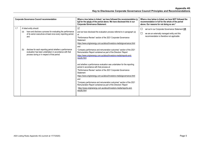|     |            | <b>Corporate Governance Council recommendation</b>                                                                                                                                                                                                                                                                                   | Where a box below is ticked, $4$ we have followed the recommendation in<br>full for the whole of the period above. We have disclosed this in our<br><b>Corporate Governance Statement:</b>                                                                                                                                                                                                                                                                                                                                                                                                                                                                                                                                                                                                                                                                                                                                                                                                            |                  | Where a box below is ticked, we have NOT followed the<br>recommendation in full for the whole of the period<br>above. Our reasons for not doing so are: <sup>5</sup> |
|-----|------------|--------------------------------------------------------------------------------------------------------------------------------------------------------------------------------------------------------------------------------------------------------------------------------------------------------------------------------------|-------------------------------------------------------------------------------------------------------------------------------------------------------------------------------------------------------------------------------------------------------------------------------------------------------------------------------------------------------------------------------------------------------------------------------------------------------------------------------------------------------------------------------------------------------------------------------------------------------------------------------------------------------------------------------------------------------------------------------------------------------------------------------------------------------------------------------------------------------------------------------------------------------------------------------------------------------------------------------------------------------|------------------|----------------------------------------------------------------------------------------------------------------------------------------------------------------------|
| 1.7 | (a)<br>(b) | A listed entity should:<br>have and disclose a process for evaluating the performance<br>of its senior executives at least once every reporting period;<br>and<br>disclose for each reporting period whether a performance<br>evaluation has been undertaken in accordance with that<br>process during or in respect of that period. | $\sqrt{}$<br>and we have disclosed the evaluation process referred to in paragraph (a)<br>at:<br>"Performance Review" section of the 2021 Corporate Governance<br>Statement<br>https://www.originenergy.com.au/about/investors-media/governance.html<br>and<br>"Company performance and remuneration outcomes" section of the 2021<br>Remuneration Report contained as part of the Directors' Report<br>https://www.originenergy.com.au/about/investors-media/reports-and-<br>results.html<br>and whether a performance evaluation was undertaken for the reporting<br>period in accordance with that process at:<br>"Performance Review" section of the 2021 Corporate Governance<br><b>Statement</b><br>https://www.originenergy.com.au/about/investors-media/governance.html<br>and<br>"Company performance and remuneration outcomes" section of the 2021<br>Remuneration Report contained as part of the Directors' Report<br>https://www.originenergy.com.au/about/investors-media/reports-and- | $\Box$<br>$\Box$ | set out in our Corporate Governance Statement OR<br>we are an externally managed entity and this<br>recommendation is therefore not applicable                       |
|     |            |                                                                                                                                                                                                                                                                                                                                      | results.html                                                                                                                                                                                                                                                                                                                                                                                                                                                                                                                                                                                                                                                                                                                                                                                                                                                                                                                                                                                          |                  |                                                                                                                                                                      |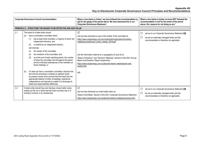Appendix 4G Key to Disclosures Corporate Governance Council Principles and Recommendations

|     | <b>Corporate Governance Council recommendation</b>                                                                                                                                                                                                                                                                                                                                                                                                                                                                                                                                                                                                                                                                                                                                                                                                                                 | Where a box below is ticked, $4$ we have followed the recommendation in<br>full for the whole of the period above. We have disclosed this in our<br><b>Corporate Governance Statement:</b>                                                                                                                                                                                                                                                                                          | Where a box below is ticked, we have NOT followed the<br>recommendation in full for the whole of the period<br>above. Our reasons for not doing so are: <sup>5</sup> |
|-----|------------------------------------------------------------------------------------------------------------------------------------------------------------------------------------------------------------------------------------------------------------------------------------------------------------------------------------------------------------------------------------------------------------------------------------------------------------------------------------------------------------------------------------------------------------------------------------------------------------------------------------------------------------------------------------------------------------------------------------------------------------------------------------------------------------------------------------------------------------------------------------|-------------------------------------------------------------------------------------------------------------------------------------------------------------------------------------------------------------------------------------------------------------------------------------------------------------------------------------------------------------------------------------------------------------------------------------------------------------------------------------|----------------------------------------------------------------------------------------------------------------------------------------------------------------------|
|     | <b>PRINCIPLE 2 - STRUCTURE THE BOARD TO BE EFFECTIVE AND ADD VALUE</b>                                                                                                                                                                                                                                                                                                                                                                                                                                                                                                                                                                                                                                                                                                                                                                                                             |                                                                                                                                                                                                                                                                                                                                                                                                                                                                                     |                                                                                                                                                                      |
| 2.1 | The board of a listed entity should:<br>have a nomination committee which:<br>(a)<br>has at least three members, a majority of whom are<br>(1)<br>independent directors; and<br>is chaired by an independent director,<br>(2)<br>and disclose:<br>the charter of the committee:<br>(3)<br>the members of the committee; and<br>(4)<br>as at the end of each reporting period, the number<br>(5)<br>of times the committee met throughout the period<br>and the individual attendances of the members at<br>those meetings; or<br>if it does not have a nomination committee, disclose that<br>(b)<br>fact and the processes it employs to address board<br>succession issues and to ensure that the board has the<br>appropriate balance of skills, knowledge, experience,<br>independence and diversity to enable it to discharge its<br>duties and responsibilities effectively. | ☑<br>and we have disclosed a copy of the charter of the committee at:<br>https://www.originenergy.com.au/content/dam/origin/about/investors-<br>media/documents/nom_comm_charter_2019.pdf<br>and the information referred to in paragraphs (4) and (5) at:<br>"Board of Directors" and "Directors' Meetings" sections of the 2021 Annual<br>Report and Directors' Report respectively.<br>https://www.originenergy.com.au/about/investors-media/reports-and-<br>results.html<br>N/A | $\Box$<br>set out in our Corporate Governance Statement OR<br>$\Box$<br>we are an externally managed entity and this<br>recommendation is therefore not applicable   |
| 2.2 | A listed entity should have and disclose a board skills matrix<br>setting out the mix of skills that the board currently has or is<br>looking to achieve in its membership.                                                                                                                                                                                                                                                                                                                                                                                                                                                                                                                                                                                                                                                                                                        | $\triangledown$<br>and we have disclosed our board skills matrix at:<br>"Board Committees" Section of the 2021 Corporate Governance Statement<br>https://www.originenergy.com.au/about/investors-media/governance.html                                                                                                                                                                                                                                                              | $\Box$<br>set out in our Corporate Governance Statement OR<br>$\Box$<br>we are an externally managed entity and this<br>recommendation is therefore not applicable   |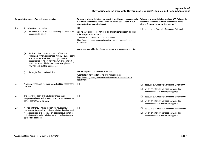|     | <b>Corporate Governance Council recommendation</b>                                                                                                                                                                                                                                                                                                     | Where a box below is ticked, <sup>4</sup> we have followed the recommendation in<br>full for the whole of the period above. We have disclosed this in our<br><b>Corporate Governance Statement:</b>                                                                                                                                                     | Where a box below is ticked, we have NOT followed the<br>recommendation in full for the whole of the period<br>above. Our reasons for not doing so are: <sup>5</sup> |
|-----|--------------------------------------------------------------------------------------------------------------------------------------------------------------------------------------------------------------------------------------------------------------------------------------------------------------------------------------------------------|---------------------------------------------------------------------------------------------------------------------------------------------------------------------------------------------------------------------------------------------------------------------------------------------------------------------------------------------------------|----------------------------------------------------------------------------------------------------------------------------------------------------------------------|
| 2.3 | A listed entity should disclose:<br>the names of the directors considered by the board to be<br>(a)<br>independent directors;                                                                                                                                                                                                                          | $\triangledown$<br>and we have disclosed the names of the directors considered by the board<br>to be independent directors at:<br>"Directors" section of the 2021 Directors Report<br>https://www.originenergy.com.au/about/investors-media/reports-and-<br>results.html<br>and, where applicable, the information referred to in paragraph (b) at: N/A | $\Box$<br>set out in our Corporate Governance Statement                                                                                                              |
|     | if a director has an interest, position, affiliation or<br>(b)<br>relationship of the type described in Box 2.3 but the board<br>is of the opinion that it does not compromise the<br>independence of the director, the nature of the interest,<br>position or relationship in question and an explanation of<br>why the board is of that opinion; and |                                                                                                                                                                                                                                                                                                                                                         |                                                                                                                                                                      |
|     | the length of service of each director.<br>(c)                                                                                                                                                                                                                                                                                                         | and the length of service of each director at:<br>"Board of Directors" section of the 2021 Annual Report<br>https://www.originenergy.com.au/about/investors-media/reports-and-<br>results.html                                                                                                                                                          |                                                                                                                                                                      |
| 2.4 | A majority of the board of a listed entity should be independent<br>directors.                                                                                                                                                                                                                                                                         | $\Delta$                                                                                                                                                                                                                                                                                                                                                | $\Box$<br>set out in our Corporate Governance Statement OR<br>$\Box$<br>we are an externally managed entity and this<br>recommendation is therefore not applicable   |
| 2.5 | The chair of the board of a listed entity should be an<br>independent director and, in particular, should not be the same<br>person as the CEO of the entity.                                                                                                                                                                                          | $\triangledown$                                                                                                                                                                                                                                                                                                                                         | $\Box$<br>set out in our Corporate Governance Statement OR<br>$\Box$<br>we are an externally managed entity and this<br>recommendation is therefore not applicable   |
| 2.6 | A listed entity should have a program for inducting new<br>directors and for periodically reviewing whether there is a need<br>for existing directors to undertake professional development to<br>maintain the skills and knowledge needed to perform their role<br>as directors effectively.                                                          | $\triangledown$                                                                                                                                                                                                                                                                                                                                         | $\Box$<br>set out in our Corporate Governance Statement OR<br>$\Box$<br>we are an externally managed entity and this<br>recommendation is therefore not applicable   |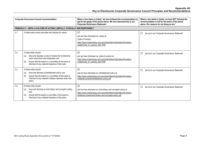|     | <b>Corporate Governance Council recommendation</b>                                                                                                                                                                                                 | Where a box below is ticked, $4$ we have followed the recommendation in<br>full for the whole of the period above. We have disclosed this in our<br><b>Corporate Governance Statement:</b>                           | Where a box below is ticked, we have NOT followed the<br>recommendation in full for the whole of the period<br>above. Our reasons for not doing so are: <sup>5</sup> |
|-----|----------------------------------------------------------------------------------------------------------------------------------------------------------------------------------------------------------------------------------------------------|----------------------------------------------------------------------------------------------------------------------------------------------------------------------------------------------------------------------|----------------------------------------------------------------------------------------------------------------------------------------------------------------------|
|     | PRINCIPLE 3 - INSTIL A CULTURE OF ACTING LAWFULLY, ETHICALLY AND RESPONSIBLY                                                                                                                                                                       |                                                                                                                                                                                                                      |                                                                                                                                                                      |
| 3.1 | A listed entity should articulate and disclose its values.                                                                                                                                                                                         | $\Delta$<br>and we have disclosed our values at:<br>Code of Conduct<br>https://www.originenergy.com.au/content/dam/origin/about/investors-<br>media/Code of conduct 2021.PDF                                         | $\Box$<br>set out in our Corporate Governance Statement                                                                                                              |
| 3.2 | A listed entity should:<br>have and disclose a code of conduct for its directors,<br>(a)<br>senior executives and employees; and<br>ensure that the board or a committee of the board is<br>(b)<br>informed of any material breaches of that code. | $\triangledown$<br>and we have disclosed our code of conduct at:<br>https://www.originenergy.com.au/content/dam/origin/about/investors-<br>media/Code of conduct 2021.PDF                                            | $\Box$<br>set out in our Corporate Governance Statement                                                                                                              |
| 3.3 | A listed entity should:<br>have and disclose a whistleblower policy; and<br>(a)<br>ensure that the board or a committee of the board is<br>(b)<br>informed of any material incidents reported under that<br>policy.                                | ☑<br>and we have disclosed our whistleblower policy at:<br>https://www.originenergy.com.au/content/dam/origin/about/investors-<br>media/documents/whistleblower-policy.pdf                                           | $\Box$<br>set out in our Corporate Governance Statement                                                                                                              |
| 3.4 | A listed entity should:<br>have and disclose an anti-bribery and corruption policy;<br>(a)<br>and<br>ensure that the board or committee of the board is<br>(b)<br>informed of any material breaches of that policy.                                | $\triangledown$<br>and we have disclosed our anti-bribery and corruption policy at:<br>https://www.originenergy.com.au/content/dam/origin/about/investors-<br>media/documents/anti-bribery-and-corruption-policy.pdf | $\Box$<br>set out in our Corporate Governance Statement                                                                                                              |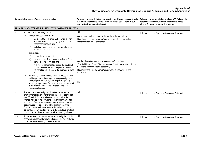|     | <b>Corporate Governance Council recommendation</b>                                                                                                                                                                                                                                                                                                                                                                                                                                                                                                                                                                                                                                                                                                                                                                                                                                                                                                                                                  | Where a box below is ticked, <sup>4</sup> we have followed the recommendation in<br>full for the whole of the period above. We have disclosed this in our<br><b>Corporate Governance Statement:</b>                                                                                                                                                                                                                                                                                            | Where a box below is ticked, we have NOT followed the<br>recommendation in full for the whole of the period<br>above. Our reasons for not doing so are: <sup>5</sup> |
|-----|-----------------------------------------------------------------------------------------------------------------------------------------------------------------------------------------------------------------------------------------------------------------------------------------------------------------------------------------------------------------------------------------------------------------------------------------------------------------------------------------------------------------------------------------------------------------------------------------------------------------------------------------------------------------------------------------------------------------------------------------------------------------------------------------------------------------------------------------------------------------------------------------------------------------------------------------------------------------------------------------------------|------------------------------------------------------------------------------------------------------------------------------------------------------------------------------------------------------------------------------------------------------------------------------------------------------------------------------------------------------------------------------------------------------------------------------------------------------------------------------------------------|----------------------------------------------------------------------------------------------------------------------------------------------------------------------|
|     | <b>PRINCIPLE 4 - SAFEGUARD THE INTEGRITY OF CORPORATE REPORTS</b>                                                                                                                                                                                                                                                                                                                                                                                                                                                                                                                                                                                                                                                                                                                                                                                                                                                                                                                                   |                                                                                                                                                                                                                                                                                                                                                                                                                                                                                                |                                                                                                                                                                      |
| 4.1 | The board of a listed entity should:<br>have an audit committee which:<br>(a)<br>has at least three members, all of whom are non-<br>(1)<br>executive directors and a majority of whom are<br>independent directors; and<br>is chaired by an independent director, who is not<br>(2)<br>the chair of the board.<br>and disclose:<br>the charter of the committee:<br>(3)<br>the relevant qualifications and experience of the<br>(4)<br>members of the committee; and<br>in relation to each reporting period, the number of<br>(5)<br>times the committee met throughout the period and<br>the individual attendances of the members at those<br>meetings; or<br>if it does not have an audit committee, disclose that fact<br>(b)<br>and the processes it employs that independently verify<br>and safeguard the integrity of its corporate reporting,<br>including the processes for the appointment and removal<br>of the external auditor and the rotation of the audit<br>engagement partner. | $\boxed{\checkmark}$<br>and we have disclosed a copy of the charter of the committee at:<br>https://www.originenergy.com.au/content/dam/origin/about/investors-<br>media/audit-committee-charter.pdf<br>and the information referred to in paragraphs (4) and (5) at:<br>"Board of Directors" and "Directors' Meetings" sections of the 2021 Annual<br>Report and Directors' Report respectively.<br>https://www.originenergy.com.au/about/investors-media/reports-and-<br>results.html<br>N/A | □<br>set out in our Corporate Governance Statement                                                                                                                   |
| 4.2 | The board of a listed entity should, before it approves the<br>entity's financial statements for a financial period, receive from<br>its CEO and CFO a declaration that, in their opinion, the<br>financial records of the entity have been properly maintained<br>and that the financial statements comply with the appropriate<br>accounting standards and give a true and fair view of the<br>financial position and performance of the entity and that the<br>opinion has been formed on the basis of a sound system of risk<br>management and internal control which is operating effectively.                                                                                                                                                                                                                                                                                                                                                                                                 | $\triangledown$                                                                                                                                                                                                                                                                                                                                                                                                                                                                                | set out in our Corporate Governance Statement<br>$\Box$                                                                                                              |
| 4.3 | A listed entity should disclose its process to verify the integrity<br>of any periodic corporate report it releases to the market that is<br>not audited or reviewed by an external auditor.                                                                                                                                                                                                                                                                                                                                                                                                                                                                                                                                                                                                                                                                                                                                                                                                        | $\Delta$                                                                                                                                                                                                                                                                                                                                                                                                                                                                                       | □<br>set out in our Corporate Governance Statement                                                                                                                   |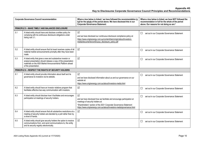| <b>Corporate Governance Council recommendation</b> |                                                                                                                                                                                                                    | Where a box below is ticked, <sup>4</sup> we have followed the recommendation in<br>full for the whole of the period above. We have disclosed this in our<br><b>Corporate Governance Statement:</b>                                                                                 | Where a box below is ticked, we have NOT followed the<br>recommendation in full for the whole of the period<br>above. Our reasons for not doing so are: <sup>5</sup> |
|----------------------------------------------------|--------------------------------------------------------------------------------------------------------------------------------------------------------------------------------------------------------------------|-------------------------------------------------------------------------------------------------------------------------------------------------------------------------------------------------------------------------------------------------------------------------------------|----------------------------------------------------------------------------------------------------------------------------------------------------------------------|
|                                                    | PRINCIPLE 5 - MAKE TIMELY AND BALANCED DISCLOSURE                                                                                                                                                                  |                                                                                                                                                                                                                                                                                     |                                                                                                                                                                      |
| 5.1                                                | A listed entity should have and disclose a written policy for<br>complying with its continuous disclosure obligations under<br>listing rule 3.1.                                                                   | $\boxed{\textstyle\diagup}$<br>and we have disclosed our continuous disclosure compliance policy at:<br>https://www.originenergy.com.au/content/dam/origin/about/investors-<br>media/documents/continuous_disclosure_policy.pdf                                                     | $\Box$<br>set out in our Corporate Governance Statement                                                                                                              |
| 5.2                                                | A listed entity should ensure that its board receives copies of all<br>material market announcements promptly after they have been<br>made.                                                                        | $\sqrt{}$                                                                                                                                                                                                                                                                           | $\Box$<br>set out in our Corporate Governance Statement                                                                                                              |
| 5.3                                                | A listed entity that gives a new and substantive investor or<br>analyst presentation should release a copy of the presentation<br>materials on the ASX Market Announcements Platform ahead<br>of the presentation. | $\overline{\mathsf{v}}$                                                                                                                                                                                                                                                             | set out in our Corporate Governance Statement<br>$\Box$                                                                                                              |
|                                                    | PRINCIPLE 6 - RESPECT THE RIGHTS OF SECURITY HOLDERS                                                                                                                                                               |                                                                                                                                                                                                                                                                                     |                                                                                                                                                                      |
| 6.1                                                | A listed entity should provide information about itself and its<br>governance to investors via its website.                                                                                                        | $\overline{\mathsf{v}}$<br>and we have disclosed information about us and our governance on our<br>website at:<br>https://www.originenergy.com.au/about/investors-media.html                                                                                                        | $\Box$<br>set out in our Corporate Governance Statement                                                                                                              |
| 6.2                                                | A listed entity should have an investor relations program that<br>facilitates effective two-way communication with investors.                                                                                      | $\Delta$                                                                                                                                                                                                                                                                            | $\Box$<br>set out in our Corporate Governance Statement                                                                                                              |
| 6.3                                                | A listed entity should disclose how it facilitates and encourages<br>participation at meetings of security holders.                                                                                                | $\overline{\mathsf{v}}$<br>and we have disclosed how we facilitate and encourage participation at<br>meetings of security holders at:<br>"Shareholders" section of the 2021 Corporate Governance Statement<br>https://www.originenergy.com.au/about/investors-media/governance.html | set out in our Corporate Governance Statement<br>$\Box$                                                                                                              |
| 6.4                                                | A listed entity should ensure that all substantive resolutions at a<br>meeting of security holders are decided by a poll rather than by<br>a show of hands.                                                        | $\boxed{\sqrt}$                                                                                                                                                                                                                                                                     | set out in our Corporate Governance Statement<br>$\Box$                                                                                                              |
| 6.5                                                | A listed entity should give security holders the option to receive<br>communications from, and send communications to, the entity<br>and its security registry electronically.                                     | $\sqrt{}$                                                                                                                                                                                                                                                                           | set out in our Corporate Governance Statement<br>$\Box$                                                                                                              |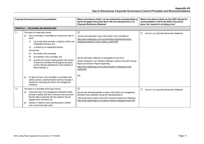| <b>Corporate Governance Council recommendation</b> |                                                                                                                                                                                                                                                                                                                                                                                                                                                                                                                                                              | Where a box below is ticked, $4$ we have followed the recommendation in<br>full for the whole of the period above. We have disclosed this in our<br><b>Corporate Governance Statement:</b>                                                                                                                                                                                                                                                                                              | Where a box below is ticked, we have NOT followed the<br>recommendation in full for the whole of the period<br>above. Our reasons for not doing so are: <sup>5</sup> |
|----------------------------------------------------|--------------------------------------------------------------------------------------------------------------------------------------------------------------------------------------------------------------------------------------------------------------------------------------------------------------------------------------------------------------------------------------------------------------------------------------------------------------------------------------------------------------------------------------------------------------|-----------------------------------------------------------------------------------------------------------------------------------------------------------------------------------------------------------------------------------------------------------------------------------------------------------------------------------------------------------------------------------------------------------------------------------------------------------------------------------------|----------------------------------------------------------------------------------------------------------------------------------------------------------------------|
|                                                    | <b>PRINCIPLE 7 - RECOGNISE AND MANAGE RISK</b>                                                                                                                                                                                                                                                                                                                                                                                                                                                                                                               |                                                                                                                                                                                                                                                                                                                                                                                                                                                                                         |                                                                                                                                                                      |
| 7.1                                                | The board of a listed entity should:<br>have a committee or committees to oversee risk, each of<br>(a)<br>which:<br>has at least three members, a majority of whom are<br>(1)<br>independent directors; and<br>is chaired by an independent director,<br>(2)<br>and disclose:<br>the charter of the committee:<br>(3)<br>the members of the committee; and<br>(4)<br>as at the end of each reporting period, the number<br>(5)<br>of times the committee met throughout the period<br>and the individual attendances of the members at<br>those meetings; or | $\Delta$<br>and we have disclosed a copy of the charter of the committee at:<br>https://www.originenergy.com.au/content/dam/origin/about/investors-<br>media/documents/risk comm charter Jun2019.pdf<br>and the information referred to in paragraphs (4) and (5) at:<br>"Board of Directors" and "Directors' Meetings" sections of the 2021 Annual<br>Report and Directors' Report respectively.<br>https://www.originenergy.com.au/about/investors-media/reports-and-<br>results.html | $\Box$<br>set out in our Corporate Governance Statement                                                                                                              |
|                                                    | if it does not have a risk committee or committees that<br>(b)<br>satisfy (a) above, disclose that fact and the processes it<br>employs for overseeing the entity's risk management<br>framework.                                                                                                                                                                                                                                                                                                                                                            | N/A                                                                                                                                                                                                                                                                                                                                                                                                                                                                                     |                                                                                                                                                                      |
| 7.2                                                | The board or a committee of the board should:<br>review the entity's risk management framework at least<br>(a)<br>annually to satisfy itself that it continues to be sound and<br>that the entity is operating with due regard to the risk<br>appetite set by the board; and<br>disclose, in relation to each reporting period, whether<br>(b)<br>such a review has taken place.                                                                                                                                                                             | $\triangledown$<br>and we have disclosed whether a review of the entity's risk management<br>framework was undertaken during the reporting period at:<br>"Risk & Assurance" section of the 2021 Corporate Governance Statement<br>https://www.originenergy.com.au/about/investors-media/governance.html                                                                                                                                                                                 | set out in our Corporate Governance Statement<br>$\Box$                                                                                                              |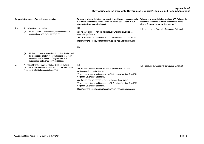| <b>Corporate Governance Council recommendation</b> |                                                                                                                                                                                                                                      | Where a box below is ticked, <sup>4</sup> we have followed the recommendation in<br>full for the whole of the period above. We have disclosed this in our<br><b>Corporate Governance Statement:</b>                                                                                                                                                                                                                                                                                 | Where a box below is ticked, we have NOT followed the<br>recommendation in full for the whole of the period<br>above. Our reasons for not doing so are: <sup>5</sup> |
|----------------------------------------------------|--------------------------------------------------------------------------------------------------------------------------------------------------------------------------------------------------------------------------------------|-------------------------------------------------------------------------------------------------------------------------------------------------------------------------------------------------------------------------------------------------------------------------------------------------------------------------------------------------------------------------------------------------------------------------------------------------------------------------------------|----------------------------------------------------------------------------------------------------------------------------------------------------------------------|
| 7.3                                                | A listed entity should disclose:<br>if it has an internal audit function, how the function is<br>(a)<br>structured and what role it performs; or                                                                                     | ☑<br>and we have disclosed how our internal audit function is structured and<br>what role it performs at:<br>"Risk & Assurance" section of the 2021 Corporate Governance Statement<br>https://www.originenergy.com.au/about/investors-media/governance.html<br>N/A                                                                                                                                                                                                                  | set out in our Corporate Governance Statement<br>□                                                                                                                   |
|                                                    | if it does not have an internal audit function, that fact and<br>(b)<br>the processes it employs for evaluating and continually<br>improving the effectiveness of its governance, risk<br>management and internal control processes. |                                                                                                                                                                                                                                                                                                                                                                                                                                                                                     |                                                                                                                                                                      |
| 7.4                                                | A listed entity should disclose whether it has any material<br>exposure to environmental or social risks and, if it does, how it<br>manages or intends to manage those risks.                                                        | ☑<br>and we have disclosed whether we have any material exposure to<br>environmental and social risks at:<br>"Environmental, Social and Governance (ESG) matters" section of the 2021<br>Corporate Governance Statement,<br>and if we do, how we manage or intend to manage those risks at:<br>"Environmental, Social and Governance (ESG) matters" section of the 2021<br>Corporate Governance Statement.<br>https://www.originenergy.com.au/about/investors-media/governance.html | set out in our Corporate Governance Statement<br>ப                                                                                                                   |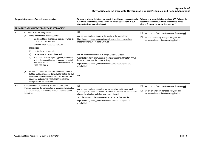| <b>Corporate Governance Council recommendation</b> |                                                                                                                                                                                                                                                                                                                                                                                                                                                                                                                                                                                                                                                                                                                                                                                                                     | Where a box below is ticked, $4$ we have followed the recommendation in<br>full for the whole of the period above. We have disclosed this in our<br><b>Corporate Governance Statement:</b>                                                                                                                                                                                                                                                                                            | Where a box below is ticked, we have NOT followed the<br>recommendation in full for the whole of the period<br>above. Our reasons for not doing so are: <sup>5</sup> |
|----------------------------------------------------|---------------------------------------------------------------------------------------------------------------------------------------------------------------------------------------------------------------------------------------------------------------------------------------------------------------------------------------------------------------------------------------------------------------------------------------------------------------------------------------------------------------------------------------------------------------------------------------------------------------------------------------------------------------------------------------------------------------------------------------------------------------------------------------------------------------------|---------------------------------------------------------------------------------------------------------------------------------------------------------------------------------------------------------------------------------------------------------------------------------------------------------------------------------------------------------------------------------------------------------------------------------------------------------------------------------------|----------------------------------------------------------------------------------------------------------------------------------------------------------------------|
|                                                    | <b>PRINCIPLE 8 - REMUNERATE FAIRLY AND RESPONSIBLY</b>                                                                                                                                                                                                                                                                                                                                                                                                                                                                                                                                                                                                                                                                                                                                                              |                                                                                                                                                                                                                                                                                                                                                                                                                                                                                       |                                                                                                                                                                      |
| 8.1                                                | The board of a listed entity should:<br>have a remuneration committee which:<br>(a)<br>has at least three members, a majority of whom are<br>(1)<br>independent directors; and<br>is chaired by an independent director,<br>(2)<br>and disclose:<br>the charter of the committee:<br>(3)<br>the members of the committee; and<br>(4)<br>(5)<br>as at the end of each reporting period, the number<br>of times the committee met throughout the period<br>and the individual attendances of the members at<br>those meetings; or<br>if it does not have a remuneration committee, disclose<br>(b)<br>that fact and the processes it employs for setting the level<br>and composition of remuneration for directors and senior<br>executives and ensuring that such remuneration is<br>appropriate and not excessive. | $\Delta$<br>and we have disclosed a copy of the charter of the committee at:<br>https://www.originenergy.com.au/content/dam/origin/about/investors-<br>media/documents/rpc_Charter_2019.pdf<br>and the information referred to in paragraphs (4) and (5) at:<br>"Board of Directors" and "Directors' Meetings" sections of the 2021 Annual<br>Report and Directors' Report respectively.<br>https://www.originenergy.com.au/about/investors-media/reports-and-<br>results.html<br>N/A | $\Box$<br>set out in our Corporate Governance Statement OR<br>$\Box$<br>we are an externally managed entity and this<br>recommendation is therefore not applicable   |
| 8.2                                                | A listed entity should separately disclose its policies and<br>practices regarding the remuneration of non-executive directors<br>and the remuneration of executive directors and other senior<br>executives.                                                                                                                                                                                                                                                                                                                                                                                                                                                                                                                                                                                                       | $\triangledown$<br>and we have disclosed separately our remuneration policies and practices<br>regarding the remuneration of non-executive directors and the remuneration<br>of executive directors and other senior executives at:<br>2021 Remuneration Report contained as part of the Directors' Report<br>https://www.originenergy.com.au/about/investors-media/reports-and-<br>results.html                                                                                      | $\Box$<br>set out in our Corporate Governance Statement OR<br>$\Box$<br>we are an externally managed entity and this<br>recommendation is therefore not applicable   |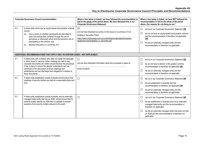| <b>Corporate Governance Council recommendation</b>                           |                                                                                                                                                                                                                                                                                                                                                                                                                                                                               | Where a box below is ticked, $4$ we have followed the recommendation in<br>full for the whole of the period above. We have disclosed this in our<br><b>Corporate Governance Statement:</b>                                                   | Where a box below is ticked, we have NOT followed the<br>recommendation in full for the whole of the period<br>above. Our reasons for not doing so are: <sup>5</sup>                                                                                                                                                                               |
|------------------------------------------------------------------------------|-------------------------------------------------------------------------------------------------------------------------------------------------------------------------------------------------------------------------------------------------------------------------------------------------------------------------------------------------------------------------------------------------------------------------------------------------------------------------------|----------------------------------------------------------------------------------------------------------------------------------------------------------------------------------------------------------------------------------------------|----------------------------------------------------------------------------------------------------------------------------------------------------------------------------------------------------------------------------------------------------------------------------------------------------------------------------------------------------|
| 8.3                                                                          | A listed entity which has an equity-based remuneration scheme<br>should:<br>have a policy on whether participants are permitted to<br>(a)<br>enter into transactions (whether through the use of<br>derivatives or otherwise) which limit the economic risk of<br>participating in the scheme; and<br>disclose that policy or a summary of it.<br>(b)                                                                                                                         | $\triangledown$<br>and we have disclosed our policy on this issue or a summary of it at:<br>Dealing in Securities Policy<br>https://www.originenergy.com.au/content/dam/origin/about/investors-<br>media/documents/dealing_in_securities.pdf | $\Box$<br>set out in our Corporate Governance Statement OR<br>we do not have an equity-based remuneration scheme<br>$\Box$<br>and this recommendation is therefore not applicable<br>OR<br>$\Box$<br>we are an externally managed entity and this<br>recommendation is therefore not applicable                                                    |
| ADDITIONAL RECOMMENDATIONS THAT APPLY ONLY IN CERTAIN CASES - NOT APPLICABLE |                                                                                                                                                                                                                                                                                                                                                                                                                                                                               |                                                                                                                                                                                                                                              |                                                                                                                                                                                                                                                                                                                                                    |
| 9.1<br>9.2                                                                   | A listed entity with a director who does not speak the language<br>in which board or security holder meetings are held or key<br>corporate documents are written should disclose the processes<br>it has in place to ensure the director understands and can<br>contribute to the discussions at those meetings and<br>understands and can discharge their obligations in relation to<br>those documents.<br>A listed entity established outside Australia should ensure that | $\Box$<br>and we have disclosed information about the processes in place at:<br>[insert location]<br>$\Box$                                                                                                                                  | $\Box$<br>set out in our Corporate Governance Statement OR<br>$\Box$<br>we do not have a director in this position and this<br>recommendation is therefore not applicable OR<br>$\Box$<br>we are an externally managed entity and this<br>recommendation is therefore not applicable                                                               |
|                                                                              | meetings of security holders are held at a reasonable place and<br>time.                                                                                                                                                                                                                                                                                                                                                                                                      |                                                                                                                                                                                                                                              | $\Box$<br>set out in our Corporate Governance Statement OR<br>we are established in Australia and this<br>$\Box$<br>recommendation is therefore not applicable OR<br>$\Box$<br>we are an externally managed entity and this<br>recommendation is therefore not applicable                                                                          |
| 9.3                                                                          | A listed entity established outside Australia, and an externally<br>managed listed entity that has an AGM, should ensure that its<br>external auditor attends its AGM and is available to answer<br>questions from security holders relevant to the audit.                                                                                                                                                                                                                    | $\Box$                                                                                                                                                                                                                                       | set out in our Corporate Governance Statement OR<br>$\Box$<br>$\Box$<br>we are established in Australia and not an externally<br>managed listed entity and this recommendation is<br>therefore not applicable<br>we are an externally managed entity that does not hold<br>$\Box$<br>an AGM and this recommendation is therefore not<br>applicable |